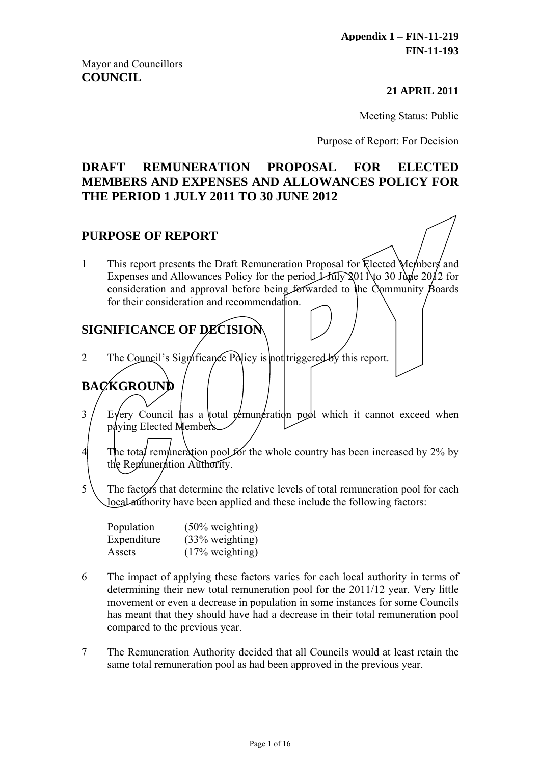#### **21 APRIL 2011**

Meeting Status: Public

Purpose of Report: For Decision

# **DRAFT REMUNERATION PROPOSAL FOR ELECTED MEMBERS AND EXPENSES AND ALLOWANCES POLICY FOR THE PERIOD 1 JULY 2011 TO 30 JUNE 2012**

## **PURPOSE OF REPORT**

1 This report presents the Draft Remuneration Proposal for Elected Members and Expenses and Allowances Policy for the period  $\perp \text{triv}$  2011 to 30 June 2012 for consideration and approval before being forwarded to the Community Boards for their consideration and recommendation.

# **SIGNIFICANCE OF DECISION**

2 The Council's Significance Policy is not triggered by this report.

# **BACKGROUND**

- $3 /$  Every Council has a total remuneration pool which it cannot exceed when paying Elected Members.
- 4 The total remuneration pool for the whole country has been increased by  $2\%$  by the Remuneration Authority.
- $5 \setminus$  The factors that determine the relative levels of total remuneration pool for each local authority have been applied and these include the following factors:

| Population  | $(50\% \text{ weighting})$ |
|-------------|----------------------------|
| Expenditure | $(33\% \text{ weighting})$ |
| Assets      | $(17\% \text{ weighting})$ |

- 6 The impact of applying these factors varies for each local authority in terms of determining their new total remuneration pool for the 2011/12 year. Very little movement or even a decrease in population in some instances for some Councils has meant that they should have had a decrease in their total remuneration pool compared to the previous year.
- 7 The Remuneration Authority decided that all Councils would at least retain the same total remuneration pool as had been approved in the previous year.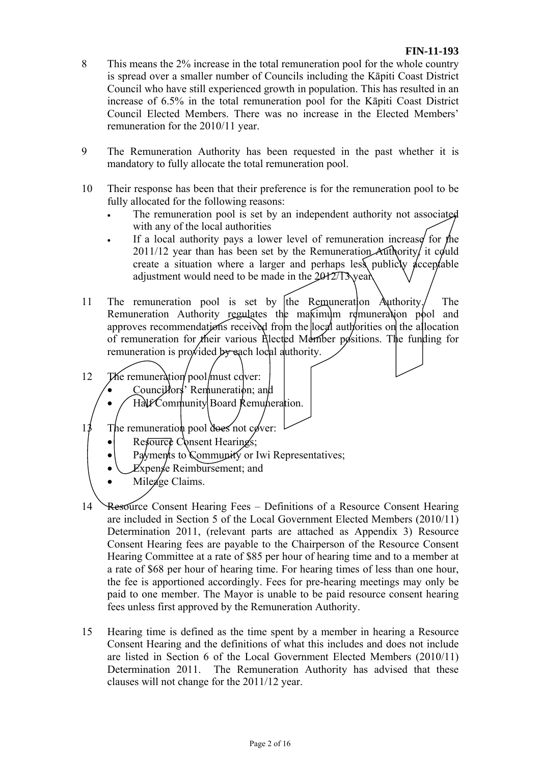- 8 This means the 2% increase in the total remuneration pool for the whole country is spread over a smaller number of Councils including the Kāpiti Coast District Council who have still experienced growth in population. This has resulted in an increase of 6.5% in the total remuneration pool for the Kāpiti Coast District Council Elected Members. There was no increase in the Elected Members' remuneration for the 2010/11 year.
- 9 The Remuneration Authority has been requested in the past whether it is mandatory to fully allocate the total remuneration pool.
- 10 Their response has been that their preference is for the remuneration pool to be fully allocated for the following reasons:
	- The remuneration pool is set by an independent authority not associated with any of the local authorities
	- If a local authority pays a lower level of remuneration increase for the  $2011/12$  year than has been set by the Remuneration Authority, it could create a situation where a larger and perhaps less publicly  $\phi$ cceptable adjustment would need to be made in the 2012/13 year.
- 11 The remuneration pool is set by the Remuneration Authority. The Remuneration Authority regulates the makimum remuneration pool and approves recommendations received from the local authorities on the allocation of remuneration for their various Elected Member positions. The funding for remuneration is provided by each local authority.
- 12 The remuneration pool must cover:
	- Councillors<sup>'</sup> Remuneration; and
	- Half Community Board Remuneration.
- $1\frac{3}{7}$  The remuneration pool does not cover:
	- Resource Consent Hearings;
	- Payments to Community or Iwi Representatives;
	- Expense Reimbursement; and
	- Mileage Claims.
- 14 Resource Consent Hearing Fees Definitions of a Resource Consent Hearing are included in Section 5 of the Local Government Elected Members (2010/11) Determination 2011, (relevant parts are attached as Appendix 3) Resource Consent Hearing fees are payable to the Chairperson of the Resource Consent Hearing Committee at a rate of \$85 per hour of hearing time and to a member at a rate of \$68 per hour of hearing time. For hearing times of less than one hour, the fee is apportioned accordingly. Fees for pre-hearing meetings may only be paid to one member. The Mayor is unable to be paid resource consent hearing fees unless first approved by the Remuneration Authority.
- 15 Hearing time is defined as the time spent by a member in hearing a Resource Consent Hearing and the definitions of what this includes and does not include are listed in Section 6 of the Local Government Elected Members (2010/11) Determination 2011. The Remuneration Authority has advised that these clauses will not change for the 2011/12 year.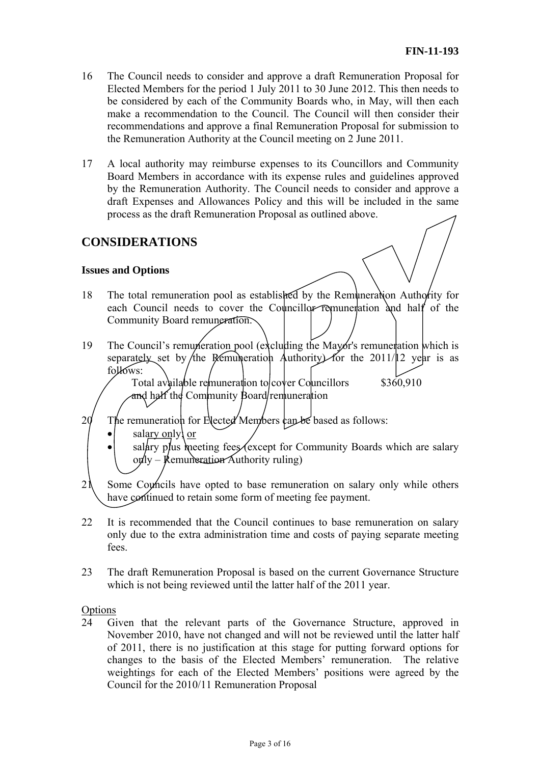- 16 The Council needs to consider and approve a draft Remuneration Proposal for Elected Members for the period 1 July 2011 to 30 June 2012. This then needs to be considered by each of the Community Boards who, in May, will then each make a recommendation to the Council. The Council will then consider their recommendations and approve a final Remuneration Proposal for submission to the Remuneration Authority at the Council meeting on 2 June 2011.
- 17 A local authority may reimburse expenses to its Councillors and Community Board Members in accordance with its expense rules and guidelines approved by the Remuneration Authority. The Council needs to consider and approve a draft Expenses and Allowances Policy and this will be included in the same process as the draft Remuneration Proposal as outlined above.

# **CONSIDERATIONS**

#### **Issues and Options**

- 18 The total remuneration pool as established by the Remuneration Authority for each Council needs to cover the Councillor remuneration and half of the Community Board remuneration.
- 19 The Council's remuneration pool (excluding the Mayor's remuneration which is separately set by the Remuneration Authority) for the 2011/12 year is as follows:

Total available remuneration to  $\cos \theta$  Councillors and half the Community Board/remuneration \$360,910

- $20$  The remuneration for Elected Members can be based as follows:
	- $\bullet$  salary only or
	- salary plus meeting fees (except for Community Boards which are salary  $\alpha$ ly – Remuneration Authority ruling)
- $2\lambda$  Some Councils have opted to base remuneration on salary only while others have continued to retain some form of meeting fee payment.
- 22 It is recommended that the Council continues to base remuneration on salary only due to the extra administration time and costs of paying separate meeting fees.
- 23 The draft Remuneration Proposal is based on the current Governance Structure which is not being reviewed until the latter half of the 2011 year.

#### Options

24 Given that the relevant parts of the Governance Structure, approved in November 2010, have not changed and will not be reviewed until the latter half of 2011, there is no justification at this stage for putting forward options for changes to the basis of the Elected Members' remuneration. The relative weightings for each of the Elected Members' positions were agreed by the Council for the 2010/11 Remuneration Proposal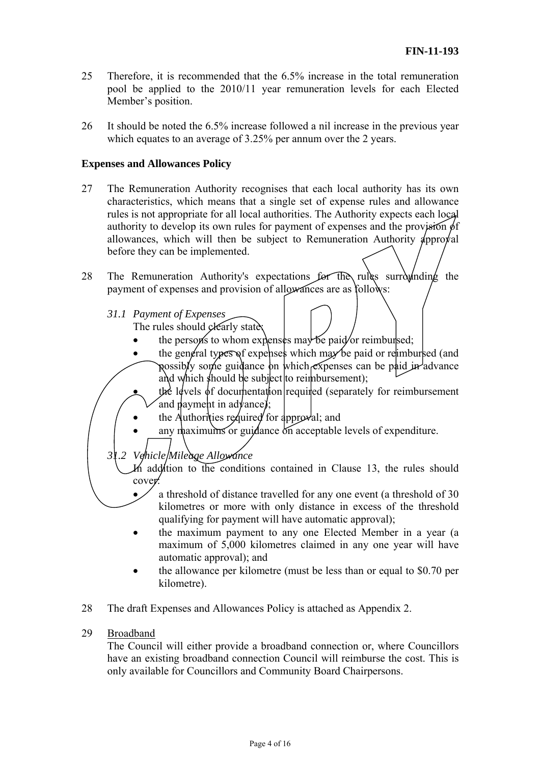- 25 Therefore, it is recommended that the 6.5% increase in the total remuneration pool be applied to the 2010/11 year remuneration levels for each Elected Member's position.
- 26 It should be noted the 6.5% increase followed a nil increase in the previous year which equates to an average of 3.25% per annum over the 2 years.

#### **Expenses and Allowances Policy**

- 27 The Remuneration Authority recognises that each local authority has its own characteristics, which means that a single set of expense rules and allowance rules is not appropriate for all local authorities. The Authority expects each local authority to develop its own rules for payment of expenses and the provision of allowances, which will then be subject to Remuneration Authority  $\phi$ pproval before they can be implemented.
- 28 The Remuneration Authority's expectations for the rules surrounding the payment of expenses and provision of allowances are as follows:
	- *31.1 Payment of Expenses*  The rules should clearly state:
		- the persons to whom expenses may be paid or reimbursed;
		- the general types of expenses which may be paid or relimbursed (and possibly some guidance on which expenses can be paid in advance and which should be subject to reimbursement);

the levels of documentation required (separately for reimbursement and payment in advance);

- the Authorities required for approval; and
- any maximums or guidance on acceptable levels of expenditure.

*31.2 Vehicle Mileage Allowance* 

In addition to the conditions contained in Clause 13, the rules should cover:

- a threshold of distance travelled for any one event (a threshold of 30 kilometres or more with only distance in excess of the threshold qualifying for payment will have automatic approval);
- the maximum payment to any one Elected Member in a year (a maximum of 5,000 kilometres claimed in any one year will have automatic approval); and
- the allowance per kilometre (must be less than or equal to \$0.70 per kilometre).
- 28 The draft Expenses and Allowances Policy is attached as Appendix 2.

#### 29 Broadband

The Council will either provide a broadband connection or, where Councillors have an existing broadband connection Council will reimburse the cost. This is only available for Councillors and Community Board Chairpersons.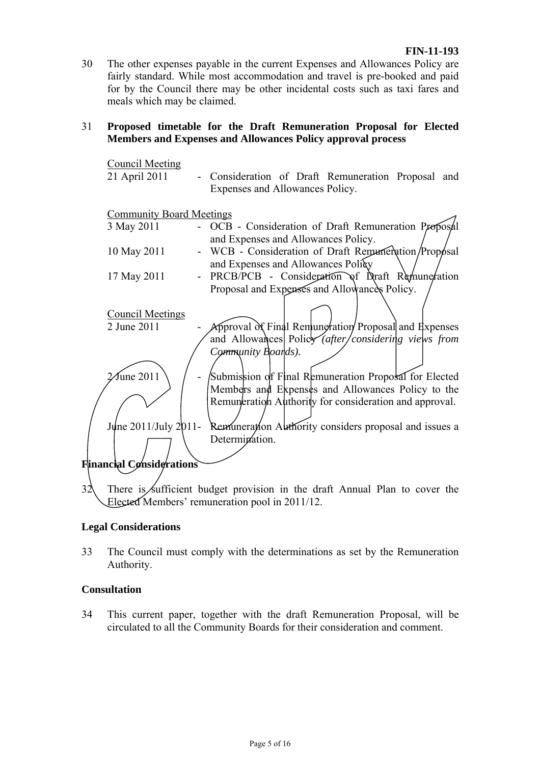30 The other expenses payable in the current Expenses and Allowances Policy are fairly standard. While most accommodation and travel is pre-booked and paid for by the Council there may be other incidental costs such as taxi fares and meals which may be claimed.

#### 31 **Proposed timetable for the Draft Remuneration Proposal for Elected Members and Expenses and Allowances Policy approval process**

| <b>Council Meeting</b>          |                                                                            |
|---------------------------------|----------------------------------------------------------------------------|
| 21 April 2011                   | - Consideration of Draft Remuneration Proposal and                         |
|                                 | Expenses and Allowances Policy.                                            |
|                                 |                                                                            |
| <b>Community Board Meetings</b> |                                                                            |
| 3 May 2011                      | OCB - Consideration of Draft Remuneration Proposal                         |
|                                 | and Expenses and Allowances Policy.                                        |
| 10 May 2011                     | WCB - Consideration of Draft Remuneration/Proposal                         |
|                                 | and Expenses and Allowances Policy                                         |
| 17 May 2011                     | PRCB/PCB - Consideration of Draft Remuneration                             |
|                                 | Proposal and Expenses and Allowances Policy.                               |
|                                 |                                                                            |
| <b>Council Meetings</b>         |                                                                            |
| 2 June 2011                     | Approval of Final Remungration Proposal and Expenses                       |
|                                 | and Allowances Policy (after/considering views from                        |
|                                 | Community Boards).                                                         |
|                                 |                                                                            |
| $\mathcal{I}$ une 2011          | Submission of Final Remuneration Proposal for Elected                      |
|                                 | Members and Expenses and Allowances Policy to the                          |
|                                 | Remuneration Authority for consideration and approval.                     |
|                                 |                                                                            |
| June 2011/July 2011-            | Remuneration Authority considers proposal and issues a                     |
|                                 | Determination.                                                             |
|                                 |                                                                            |
| Financial Cønsiderations        |                                                                            |
|                                 |                                                                            |
| 32                              | There is sufficient budget provision in the draft Annual Plan to cover the |
|                                 | Elected Members' remuneration pool in 2011/12.                             |

#### **Legal Considerations**

33 The Council must comply with the determinations as set by the Remuneration Authority.

#### **Consultation**

34 This current paper, together with the draft Remuneration Proposal, will be circulated to all the Community Boards for their consideration and comment.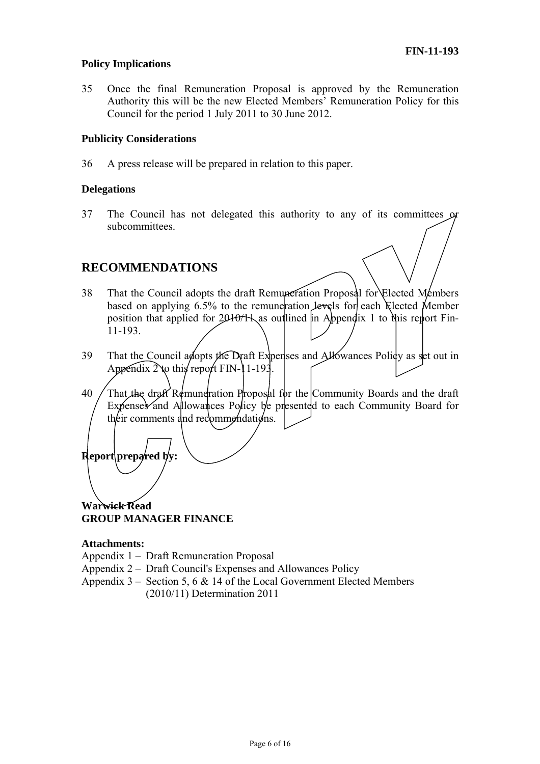#### **Policy Implications**

35 Once the final Remuneration Proposal is approved by the Remuneration Authority this will be the new Elected Members' Remuneration Policy for this Council for the period 1 July 2011 to 30 June 2012.

#### **Publicity Considerations**

36 A press release will be prepared in relation to this paper.

#### **Delegations**

37 The Council has not delegated this authority to any of its committees or subcommittees.

## **RECOMMENDATIONS**

- 38 That the Council adopts the draft Remuneration Proposal for Elected Members based on applying 6.5% to the remuneration levels for each Elected Member position that applied for  $2010/11$  as outlined in Appendix 1 to this report Fin-11-193.
- 39 That the Council adopts the Draft Expenses and Allowances Policy as set out in Appendix  $2\text{ to this}$  report FIN-11-193.
- 40 That the draft Remuneration Proposal for the Community Boards and the draft Expenses and Allowances Policy be presented to each Community Board for their comments and recommendations.

**Report** prepared by:

**Warwick Read GROUP MANAGER FINANCE** 

#### **Attachments:**

Appendix 1 – Draft Remuneration Proposal

- Appendix 2 Draft Council's Expenses and Allowances Policy
- Appendix  $3 -$  Section 5, 6 & 14 of the Local Government Elected Members (2010/11) Determination 2011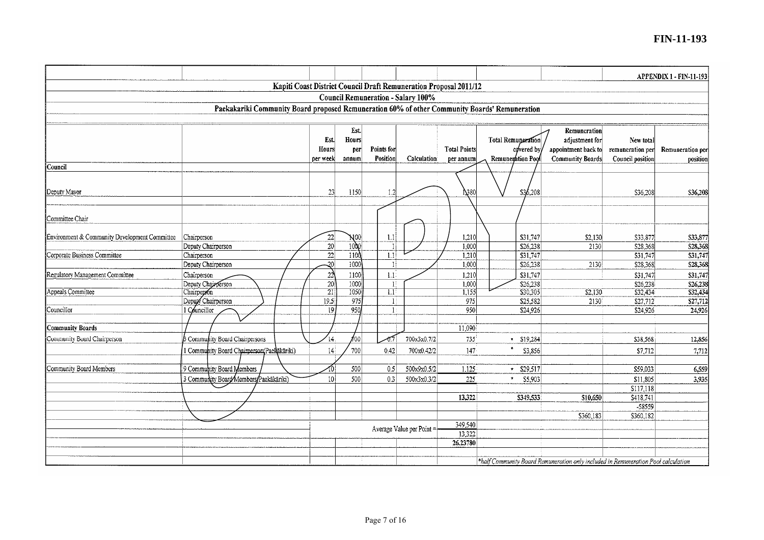#### **FIN-11-193**

|                                                                                               |                                          |                 |                  |            |                                    |                     |                                                                                   |                         |                     | <b>APPENDIX 1 - FIN-11-193</b> |
|-----------------------------------------------------------------------------------------------|------------------------------------------|-----------------|------------------|------------|------------------------------------|---------------------|-----------------------------------------------------------------------------------|-------------------------|---------------------|--------------------------------|
| Kapiti Coast District Council Draft Remuneration Proposal 2011/12                             |                                          |                 |                  |            |                                    |                     |                                                                                   |                         |                     |                                |
|                                                                                               |                                          |                 |                  |            | Council Remuneration - Salary 100% |                     |                                                                                   |                         |                     |                                |
| Paekakariki Community Board proposed Remuneration 60% of other Community Boards' Remuneration |                                          |                 |                  |            |                                    |                     |                                                                                   |                         |                     |                                |
|                                                                                               |                                          |                 |                  |            |                                    |                     |                                                                                   |                         |                     |                                |
|                                                                                               |                                          |                 | Est.             |            |                                    |                     |                                                                                   | Remuneration            |                     |                                |
|                                                                                               |                                          | Est.            | Hours            |            |                                    |                     | Total Remuneration                                                                | adjustment for          | New total           |                                |
|                                                                                               |                                          | Hours           | per              | Points for |                                    | <b>Total Points</b> | covered by                                                                        | appointment back to     | remuneration per    | Remuneration per               |
|                                                                                               |                                          | per week        | annum            | Position   | Calculation                        | per annum           | Remuneration Pool                                                                 | <b>Community Boards</b> | Council position    | position                       |
| lCouncil                                                                                      |                                          |                 |                  |            |                                    |                     |                                                                                   |                         |                     |                                |
|                                                                                               |                                          |                 |                  |            |                                    |                     |                                                                                   |                         |                     |                                |
| Deputy Mayor                                                                                  |                                          | 23              | 1150             | 1.2        |                                    | N380                | \$36,208                                                                          |                         | S36.208             | \$36,208                       |
|                                                                                               |                                          |                 |                  |            |                                    |                     |                                                                                   |                         |                     |                                |
|                                                                                               |                                          |                 |                  |            |                                    |                     |                                                                                   |                         |                     |                                |
| Committee Chair                                                                               |                                          |                 |                  |            |                                    |                     |                                                                                   |                         |                     |                                |
| Environment & Community Development Committee                                                 | Chairperson                              | 22              |                  |            |                                    |                     |                                                                                   |                         |                     |                                |
|                                                                                               | Deputy Chairperson                       | 20              | $N_{00}$<br>1000 | 1.1<br>Н   |                                    | 1,210<br>1,000      | \$31,747<br>\$26,238                                                              | \$2,130<br>2130         | \$33,877<br>S28,368 | \$33,877<br>\$28,368           |
| Corporate Business Committee                                                                  | Chairperson                              | $\overline{22}$ | 110 <sup>o</sup> | 1.1        |                                    | 1,210               | 331,747                                                                           |                         | S31,747             | S31,747                        |
|                                                                                               | Deputy Chairperson                       | $\overline{20}$ | 1000             | H          |                                    | 1,000               | \$26,238                                                                          | 2130                    | \$28,368            | \$28,368                       |
| Regulatory Management Committee                                                               | Chairperson                              | $\overline{22}$ | 1100             | 1.1        |                                    | 1,210               | \$31,747                                                                          |                         | \$31,747            | \$31,747                       |
|                                                                                               | Deputy Chairperson                       | 20              | 1000             |            |                                    | 1,000               | \$26,238                                                                          |                         | \$26,238            | 526,238                        |
| Appeals Committee                                                                             | Chairperson                              | $\overline{21}$ | 1050             | 1.1        |                                    | 1,155               | \$30,305                                                                          | \$2,130                 | \$32,434            | \$32,434                       |
|                                                                                               | Deputy Chairperson                       | 19.5            | 975              | 1          |                                    | 975                 | \$25,582                                                                          | 2130                    | \$27,712            | \$27,712                       |
| Councillor                                                                                    | 1 Councillor                             | 19              | 950              | 1:         |                                    | 950                 | \$24,926                                                                          |                         | \$24,926            | 24,926                         |
| Community Boards                                                                              |                                          |                 |                  |            |                                    | 11,090              |                                                                                   |                         |                     |                                |
|                                                                                               |                                          |                 |                  |            |                                    |                     |                                                                                   |                         |                     |                                |
| Community Board Chairperson                                                                   | <b>S</b> Community Board Chairpersons    | 14              | ∕oo∣             | -0.        | 700x3x0.7/2                        | 735                 | $\sqrt{519,284}$                                                                  |                         | \$38,568            | 12,856                         |
|                                                                                               | Community Board Chairperson(Paekākāriki) | 14              | 700              | 0.42       | 700x0.42/2                         | 147                 | \$3,856                                                                           |                         | \$7,712             | 7,712                          |
| Community Board Members                                                                       | 9 Community Board Members                |                 | 500              | 0.5        | 500x9x0.5/2                        | 1,125               | $*$ \$29,517                                                                      |                         | \$59,033            | 6,559                          |
|                                                                                               | 3 Community Board Members Paekäkäriki)   | 10 <sup>1</sup> | 500              | 0.3        | 500x3x0.3/2                        | 225                 | \$5,903<br>$\star$                                                                |                         | \$11,805            | 3,935                          |
|                                                                                               |                                          |                 |                  |            |                                    |                     |                                                                                   |                         | \$117,118           |                                |
|                                                                                               |                                          |                 |                  |            |                                    | 13,322              | S349,533                                                                          | \$10,650                | \$418,741           |                                |
|                                                                                               |                                          |                 |                  |            |                                    |                     |                                                                                   |                         | -58559              |                                |
|                                                                                               |                                          |                 |                  |            |                                    |                     |                                                                                   | \$360,183               | \$360,182           |                                |
|                                                                                               |                                          |                 |                  |            | Average Value per Point =          | 349,540             |                                                                                   |                         |                     |                                |
|                                                                                               |                                          |                 |                  |            |                                    | 13,322              |                                                                                   |                         |                     |                                |
|                                                                                               |                                          |                 |                  |            |                                    | 26.23780            |                                                                                   |                         |                     |                                |
|                                                                                               |                                          |                 |                  |            |                                    |                     | *half Community Board Remuneration only included in Remuneration Pool calculation |                         |                     |                                |
|                                                                                               |                                          |                 |                  |            |                                    |                     |                                                                                   |                         |                     |                                |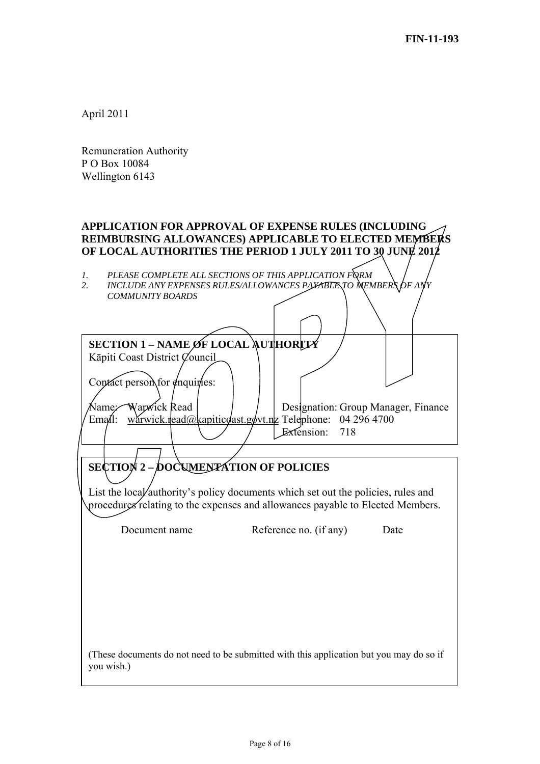April 2011

Remuneration Authority P O Box 10084 Wellington 6143

# **APPLICATION FOR APPROVAL OF EXPENSE RULES (INCLUDING REIMBURSING ALLOWANCES) APPLICABLE TO ELECTED MEMBERS OF LOCAL AUTHORITIES THE PERIOD 1 JULY 2011 TO 30 JUNE 2012**

1. PLEASE COMPLETE ALL SECTIONS OF THIS APPLICATION FORM<br>2. INCLUDE ANY EXPENSES RULES/ALLOWANCES PAYATENTO MEM

*2. INCLUDE ANY EXPENSES RULES/ALLOWANCES PAYABLE TO MEMBERS OF ANY COMMUNITY BOARDS* 

| <b>SECTION 1 - NAME ØF LOCAL AUTHORITY</b><br>Kāpiti Coast District Council<br>Contact person for enquiries:<br>Warxick Read<br>Name.∕<br>Ema $\mathbf{d}$ l: | Designation: Group Manager, Finance<br>wárwick.read@kapiticoast.govt.ng Telephone: 04 296 4700                                                                      |  |
|---------------------------------------------------------------------------------------------------------------------------------------------------------------|---------------------------------------------------------------------------------------------------------------------------------------------------------------------|--|
|                                                                                                                                                               | Extension:<br>718                                                                                                                                                   |  |
|                                                                                                                                                               |                                                                                                                                                                     |  |
| SECTION 2 - DOCUMENTATION OF POLICIES                                                                                                                         | List the local authority's policy documents which set out the policies, rules and<br>procedures relating to the expenses and allowances payable to Elected Members. |  |
| Document name                                                                                                                                                 | Reference no. (if any)<br>Date                                                                                                                                      |  |
|                                                                                                                                                               |                                                                                                                                                                     |  |
| you wish.)                                                                                                                                                    | (These documents do not need to be submitted with this application but you may do so if                                                                             |  |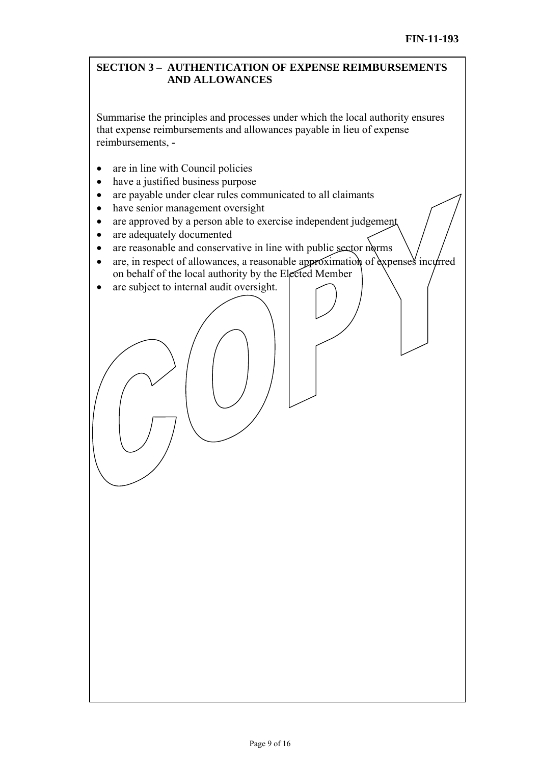## **SECTION 3 – AUTHENTICATION OF EXPENSE REIMBURSEMENTS AND ALLOWANCES**

Summarise the principles and processes under which the local authority ensures that expense reimbursements and allowances payable in lieu of expense reimbursements, -

- are in line with Council policies
- have a justified business purpose
- are payable under clear rules communicated to all claimants
- have senior management oversight
- are approved by a person able to exercise independent judgement
- are adequately documented
- are reasonable and conservative in line with public sector norms
- are, in respect of allowances, a reasonable approximation of  $\alpha$  expenses incurred on behalf of the local authority by the Elected Member
- are subject to internal audit oversight.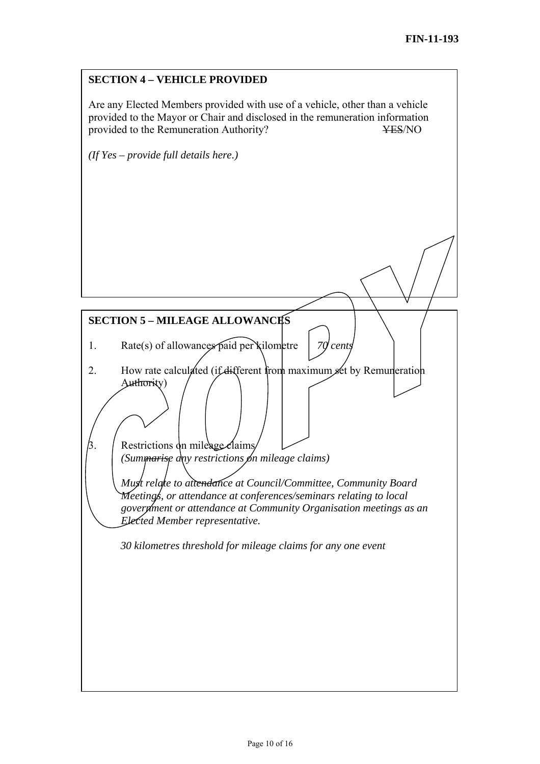# **SECTION 5 – MILEAGE ALLOWANCES**  1. Rate(s) of allowances paid per kilometre *70 cents*  2. How rate calculated (if different from maximum set by Remuneration Authority) **SECTION 4 – VEHICLE PROVIDED**  Are any Elected Members provided with use of a vehicle, other than a vehicle provided to the Mayor or Chair and disclosed in the remuneration information provided to the Remuneration Authority? YES/NO *(If Yes – provide full details here.)*

Restrictions on mileage claims *(Summarise day restrictions on mileage claims) Must relate to attendance at Council/Committee, Community Board Meetings, or attendance at conferences/seminars relating to local government or attendance at Community Organisation meetings as an Elected Member representative.* 

*30 kilometres threshold for mileage claims for any one event*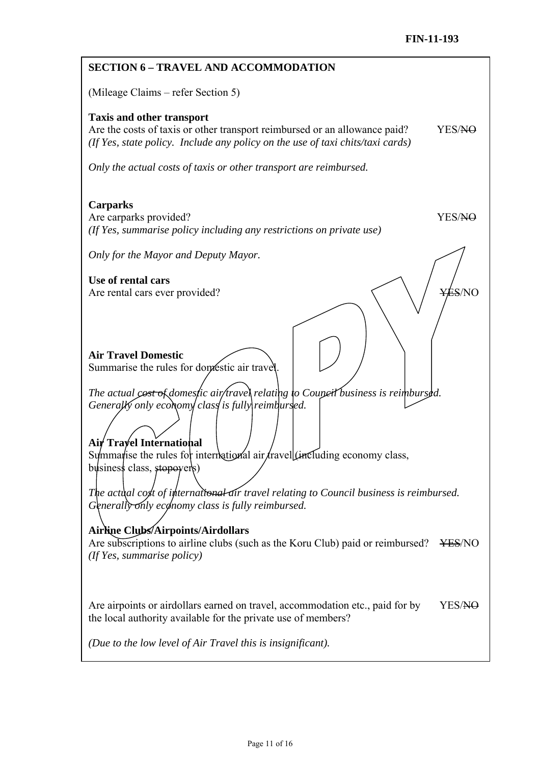| <b>SECTION 6 - TRAVEL AND ACCOMMODATION</b>                                                                                                                                                                                                                                                                                                                                                                                                                                                                                                                                                                                                                                          |
|--------------------------------------------------------------------------------------------------------------------------------------------------------------------------------------------------------------------------------------------------------------------------------------------------------------------------------------------------------------------------------------------------------------------------------------------------------------------------------------------------------------------------------------------------------------------------------------------------------------------------------------------------------------------------------------|
| (Mileage Claims – refer Section 5)                                                                                                                                                                                                                                                                                                                                                                                                                                                                                                                                                                                                                                                   |
| <b>Taxis and other transport</b><br>Are the costs of taxis or other transport reimbursed or an allowance paid?<br>YES/NO<br>(If Yes, state policy. Include any policy on the use of taxi chits/taxi cards)                                                                                                                                                                                                                                                                                                                                                                                                                                                                           |
| Only the actual costs of taxis or other transport are reimbursed.                                                                                                                                                                                                                                                                                                                                                                                                                                                                                                                                                                                                                    |
| <b>Carparks</b><br>Are carparks provided?<br>YES/NO<br>(If Yes, summarise policy including any restrictions on private use)                                                                                                                                                                                                                                                                                                                                                                                                                                                                                                                                                          |
| Only for the Mayor and Deputy Mayor.                                                                                                                                                                                                                                                                                                                                                                                                                                                                                                                                                                                                                                                 |
| Use of rental cars<br><del>YÉS</del> /NO<br>Are rental cars ever provided?                                                                                                                                                                                                                                                                                                                                                                                                                                                                                                                                                                                                           |
| <b>Air Travel Domestic</b><br>Summarise the rules for domestic air travel.<br>The actual cost of domesfic air/travel relating to Couneit business is reimbursed.<br>Generally only economy class is fully reimbursed.<br>Air Trayel International<br>Summarise the rules for international air/travell(including economy class,<br>business class, stopovers)<br>The actual cost of international air travel relating to Council business is reimbursed.<br>Generally only economy class is fully reimbursed.<br>Airline Clubs/Airpoints/Airdollars<br>Are subscriptions to airline clubs (such as the Koru Club) paid or reimbursed?<br><b>¥ES/NO</b><br>(If Yes, summarise policy) |
| Are airpoints or airdollars earned on travel, accommodation etc., paid for by<br>YES/NO<br>the local authority available for the private use of members?<br>(Due to the low level of Air Travel this is insignificant).                                                                                                                                                                                                                                                                                                                                                                                                                                                              |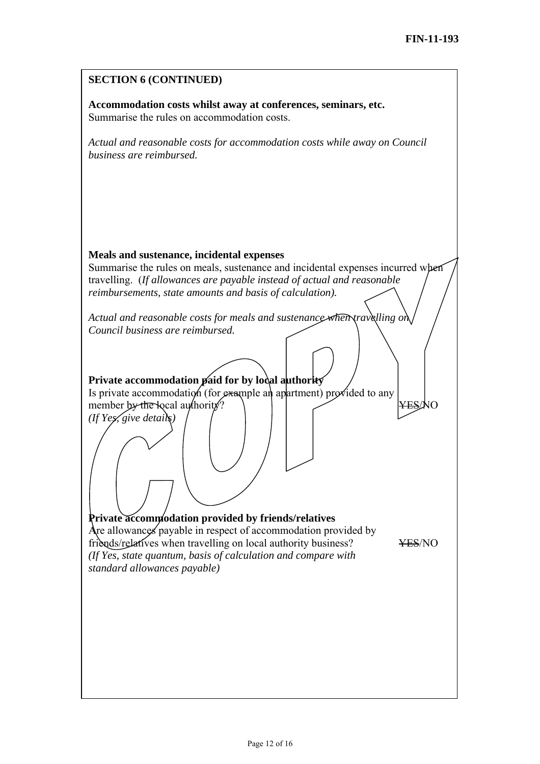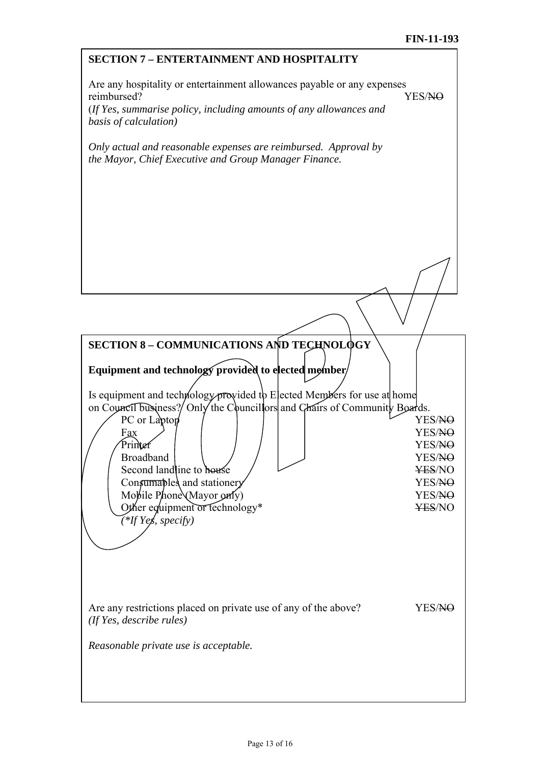| <b>SECTION 7 - ENTERTAINMENT AND HOSPITALITY</b>                                                                                                                       |                              |  |  |  |  |  |
|------------------------------------------------------------------------------------------------------------------------------------------------------------------------|------------------------------|--|--|--|--|--|
| Are any hospitality or entertainment allowances payable or any expenses<br>reimbursed?<br>YES/NO<br>(If Yes, summarise policy, including amounts of any allowances and |                              |  |  |  |  |  |
| basis of calculation)                                                                                                                                                  |                              |  |  |  |  |  |
| Only actual and reasonable expenses are reimbursed. Approval by<br>the Mayor, Chief Executive and Group Manager Finance.                                               |                              |  |  |  |  |  |
|                                                                                                                                                                        |                              |  |  |  |  |  |
|                                                                                                                                                                        |                              |  |  |  |  |  |
|                                                                                                                                                                        |                              |  |  |  |  |  |
|                                                                                                                                                                        |                              |  |  |  |  |  |
|                                                                                                                                                                        |                              |  |  |  |  |  |
|                                                                                                                                                                        |                              |  |  |  |  |  |
|                                                                                                                                                                        |                              |  |  |  |  |  |
| <b>SECTION 8 - COMMUNICATIONS AND TECHNOLOGY</b>                                                                                                                       |                              |  |  |  |  |  |
| Equipment and technology provided to elected member/                                                                                                                   |                              |  |  |  |  |  |
|                                                                                                                                                                        |                              |  |  |  |  |  |
| Is equipment and technology provided to Elected Members for use at home<br>on Council business?/ Only the Council lors and Chairs of Community Boards.                 |                              |  |  |  |  |  |
| PC or Laptop<br>Fax                                                                                                                                                    | YES/NO<br>YES/ <del>NO</del> |  |  |  |  |  |
| Printer                                                                                                                                                                | YES/NO                       |  |  |  |  |  |
| <b>Broadband</b>                                                                                                                                                       | YES/ <del>NO</del>           |  |  |  |  |  |
| Second landline to house<br>Consumables and stationery                                                                                                                 | ¥ES/NO<br>YES/NO             |  |  |  |  |  |
| Mobile Phone (Mayor only)                                                                                                                                              | YES/NO                       |  |  |  |  |  |
| Other equipment or technology*                                                                                                                                         | <b>¥ES/NO</b>                |  |  |  |  |  |
| (*If Yes, specify)                                                                                                                                                     |                              |  |  |  |  |  |
|                                                                                                                                                                        |                              |  |  |  |  |  |
|                                                                                                                                                                        |                              |  |  |  |  |  |
|                                                                                                                                                                        |                              |  |  |  |  |  |
|                                                                                                                                                                        |                              |  |  |  |  |  |
| Are any restrictions placed on private use of any of the above?<br>(If Yes, describe rules)                                                                            | YES/NO                       |  |  |  |  |  |
| Reasonable private use is acceptable.                                                                                                                                  |                              |  |  |  |  |  |
|                                                                                                                                                                        |                              |  |  |  |  |  |
|                                                                                                                                                                        |                              |  |  |  |  |  |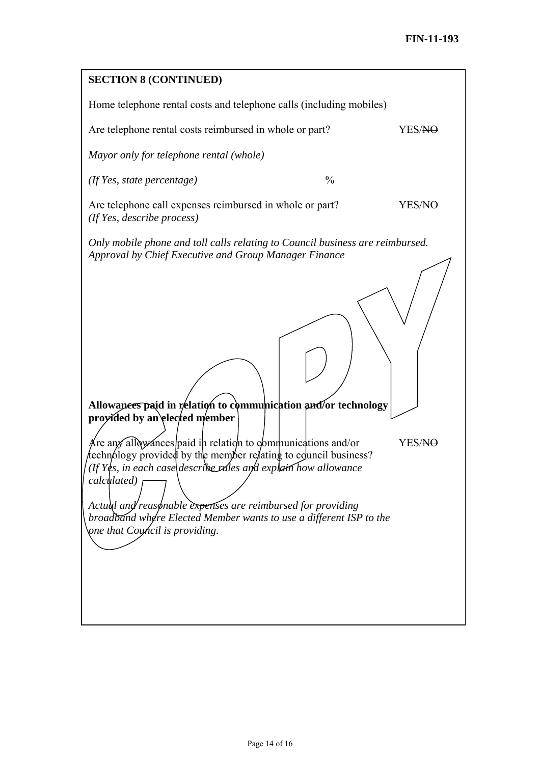| <b>SECTION 8 (CONTINUED)</b>                                                                                                                                                                                                                                                                                                                                                                                                                                                                 |               |                    |  |  |  |  |  |  |
|----------------------------------------------------------------------------------------------------------------------------------------------------------------------------------------------------------------------------------------------------------------------------------------------------------------------------------------------------------------------------------------------------------------------------------------------------------------------------------------------|---------------|--------------------|--|--|--|--|--|--|
| Home telephone rental costs and telephone calls (including mobiles)                                                                                                                                                                                                                                                                                                                                                                                                                          |               |                    |  |  |  |  |  |  |
| Are telephone rental costs reimbursed in whole or part?                                                                                                                                                                                                                                                                                                                                                                                                                                      |               | YES/NO             |  |  |  |  |  |  |
| Mayor only for telephone rental (whole)                                                                                                                                                                                                                                                                                                                                                                                                                                                      |               |                    |  |  |  |  |  |  |
| $($ If Yes, state percentage $)$                                                                                                                                                                                                                                                                                                                                                                                                                                                             | $\frac{0}{0}$ |                    |  |  |  |  |  |  |
| Are telephone call expenses reimbursed in whole or part?<br>(If Yes, describe process)                                                                                                                                                                                                                                                                                                                                                                                                       |               | YES/ <del>NO</del> |  |  |  |  |  |  |
| Only mobile phone and toll calls relating to Council business are reimbursed.<br>Approval by Chief Executive and Group Manager Finance                                                                                                                                                                                                                                                                                                                                                       |               |                    |  |  |  |  |  |  |
| Allowances paid in relation to communication and/or technology<br>proyided by an elected member<br>Are any all type and in relation to communications and/or<br>echnology provided by the member relating to council business?<br>If Yes, in each case describe rales and explain how allowance<br>calculated)<br>Actual and reasonable expenses are reimbursed for providing<br>broadband where Elected Member wants to use a different ISP to the<br><i>one that Coyncil is providing.</i> |               | YES/ <del>NO</del> |  |  |  |  |  |  |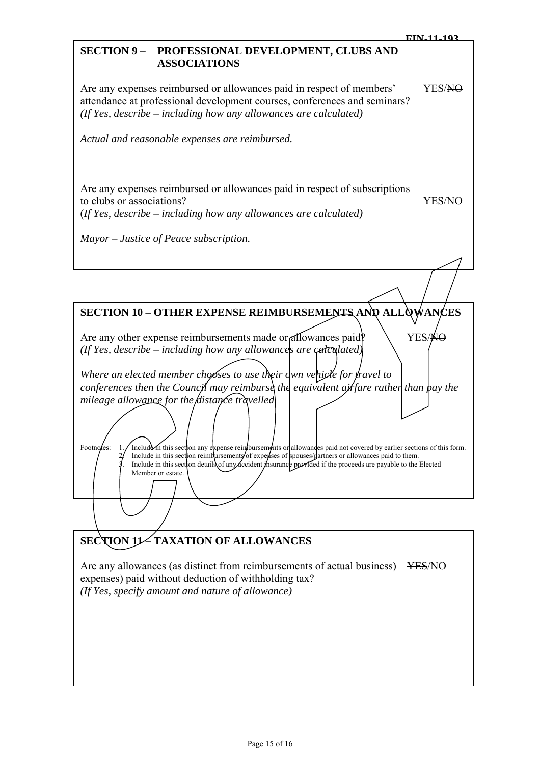#### **SECTION 9 – PROFESSIONAL DEVELOPMENT, CLUBS AND ASSOCIATIONS**

Are any expenses reimbursed or allowances paid in respect of members' YES/NO attendance at professional development courses, conferences and seminars? *(If Yes, describe – including how any allowances are calculated)* 

*Actual and reasonable expenses are reimbursed.* 

Are any expenses reimbursed or allowances paid in respect of subscriptions to clubs or associations? YES/NO (*If Yes, describe – including how any allowances are calculated)* 

*Mayor – Justice of Peace subscription.* 

| <b>SECTION 10 - OTHER EXPENSE REIMBURSEMENTS AND ALLOWANCES</b>                                                                                                                                                                                                                                                                                            |
|------------------------------------------------------------------------------------------------------------------------------------------------------------------------------------------------------------------------------------------------------------------------------------------------------------------------------------------------------------|
| Are any other expense reimbursements made or allowances paid?<br>YES/¥<br>(If Yes, describe $-$ including how any allowances are calculated)                                                                                                                                                                                                               |
| Where an elected member chooses to use their dwn vehicle for fravel to                                                                                                                                                                                                                                                                                     |
| conferences then the Council may reimburse the equivalent airfare rather than pay the                                                                                                                                                                                                                                                                      |
| mileage allowance for the distance travelled                                                                                                                                                                                                                                                                                                               |
| Include in this section any expense reinibursements or allowandes paid not covered by earlier sections of this form.<br>Footnotes:<br>Include in this section reimbursements of experises of spouses/partners or allowances paid to them.<br>Include in this section details of any accident insurance provided if the proceeds are payable to the Elected |
| Member or estate.                                                                                                                                                                                                                                                                                                                                          |
|                                                                                                                                                                                                                                                                                                                                                            |

# **SECTION 11-TAXATION OF ALLOWANCES**

Are any allowances (as distinct from reimbursements of actual business) YES/NO expenses) paid without deduction of withholding tax? *(If Yes, specify amount and nature of allowance)*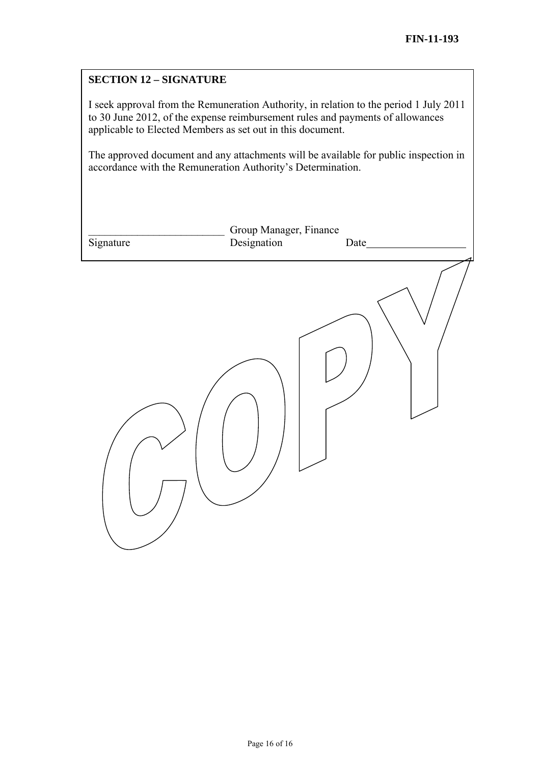#### **SECTION 12 – SIGNATURE**

I seek approval from the Remuneration Authority, in relation to the period 1 July 2011 to 30 June 2012, of the expense reimbursement rules and payments of allowances applicable to Elected Members as set out in this document.

The approved document and any attachments will be available for public inspection in accordance with the Remuneration Authority's Determination.

|           | Group Manager, Finance |       |
|-----------|------------------------|-------|
| Signature | Designation            | Date_ |
|           |                        |       |